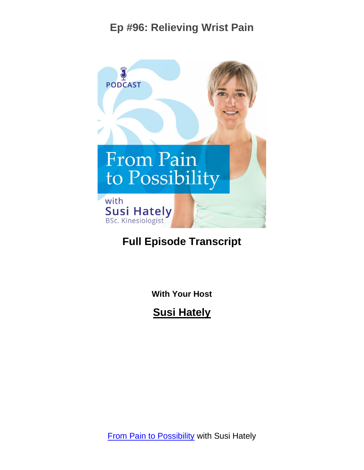

#### **Full Episode Transcript**

**With Your Host**

**Susi Hately**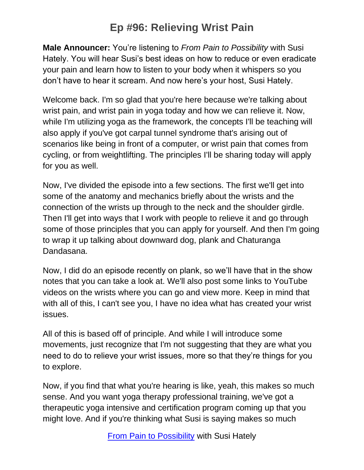**Male Announcer:** You're listening to *From Pain to Possibility* with Susi Hately. You will hear Susi's best ideas on how to reduce or even eradicate your pain and learn how to listen to your body when it whispers so you don't have to hear it scream. And now here's your host, Susi Hately.

Welcome back. I'm so glad that you're here because we're talking about wrist pain, and wrist pain in yoga today and how we can relieve it. Now, while I'm utilizing yoga as the framework, the concepts I'll be teaching will also apply if you've got carpal tunnel syndrome that's arising out of scenarios like being in front of a computer, or wrist pain that comes from cycling, or from weightlifting. The principles I'll be sharing today will apply for you as well.

Now, I've divided the episode into a few sections. The first we'll get into some of the anatomy and mechanics briefly about the wrists and the connection of the wrists up through to the neck and the shoulder girdle. Then I'll get into ways that I work with people to relieve it and go through some of those principles that you can apply for yourself. And then I'm going to wrap it up talking about downward dog, plank and Chaturanga Dandasana.

Now, I did do an episode recently on plank, so we'll have that in the show notes that you can take a look at. We'll also post some links to YouTube videos on the wrists where you can go and view more. Keep in mind that with all of this, I can't see you, I have no idea what has created your wrist issues.

All of this is based off of principle. And while I will introduce some movements, just recognize that I'm not suggesting that they are what you need to do to relieve your wrist issues, more so that they're things for you to explore.

Now, if you find that what you're hearing is like, yeah, this makes so much sense. And you want yoga therapy professional training, we've got a therapeutic yoga intensive and certification program coming up that you might love. And if you're thinking what Susi is saying makes so much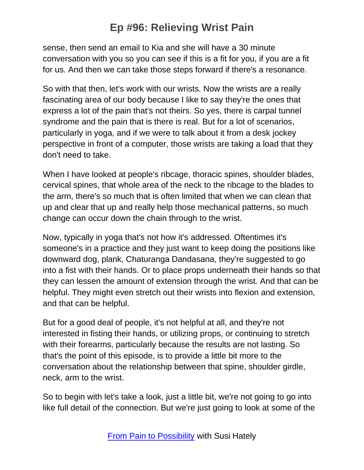sense, then send an email to Kia and she will have a 30 minute conversation with you so you can see if this is a fit for you, if you are a fit for us. And then we can take those steps forward if there's a resonance.

So with that then, let's work with our wrists. Now the wrists are a really fascinating area of our body because I like to say they're the ones that express a lot of the pain that's not theirs. So yes, there is carpal tunnel syndrome and the pain that is there is real. But for a lot of scenarios, particularly in yoga, and if we were to talk about it from a desk jockey perspective in front of a computer, those wrists are taking a load that they don't need to take.

When I have looked at people's ribcage, thoracic spines, shoulder blades, cervical spines, that whole area of the neck to the ribcage to the blades to the arm, there's so much that is often limited that when we can clean that up and clear that up and really help those mechanical patterns, so much change can occur down the chain through to the wrist.

Now, typically in yoga that's not how it's addressed. Oftentimes it's someone's in a practice and they just want to keep doing the positions like downward dog, plank, Chaturanga Dandasana, they're suggested to go into a fist with their hands. Or to place props underneath their hands so that they can lessen the amount of extension through the wrist. And that can be helpful. They might even stretch out their wrists into flexion and extension, and that can be helpful.

But for a good deal of people, it's not helpful at all, and they're not interested in fisting their hands, or utilizing props, or continuing to stretch with their forearms, particularly because the results are not lasting. So that's the point of this episode, is to provide a little bit more to the conversation about the relationship between that spine, shoulder girdle, neck, arm to the wrist.

So to begin with let's take a look, just a little bit, we're not going to go into like full detail of the connection. But we're just going to look at some of the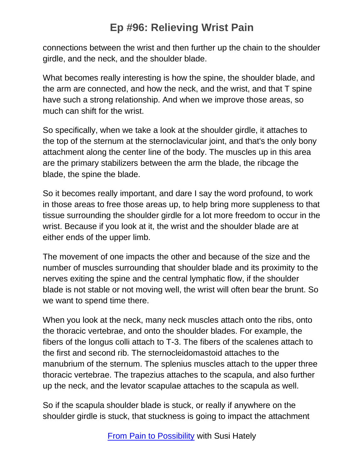connections between the wrist and then further up the chain to the shoulder girdle, and the neck, and the shoulder blade.

What becomes really interesting is how the spine, the shoulder blade, and the arm are connected, and how the neck, and the wrist, and that T spine have such a strong relationship. And when we improve those areas, so much can shift for the wrist.

So specifically, when we take a look at the shoulder girdle, it attaches to the top of the sternum at the sternoclavicular joint, and that's the only bony attachment along the center line of the body. The muscles up in this area are the primary stabilizers between the arm the blade, the ribcage the blade, the spine the blade.

So it becomes really important, and dare I say the word profound, to work in those areas to free those areas up, to help bring more suppleness to that tissue surrounding the shoulder girdle for a lot more freedom to occur in the wrist. Because if you look at it, the wrist and the shoulder blade are at either ends of the upper limb.

The movement of one impacts the other and because of the size and the number of muscles surrounding that shoulder blade and its proximity to the nerves exiting the spine and the central lymphatic flow, if the shoulder blade is not stable or not moving well, the wrist will often bear the brunt. So we want to spend time there.

When you look at the neck, many neck muscles attach onto the ribs, onto the thoracic vertebrae, and onto the shoulder blades. For example, the fibers of the longus colli attach to T-3. The fibers of the scalenes attach to the first and second rib. The sternocleidomastoid attaches to the manubrium of the sternum. The splenius muscles attach to the upper three thoracic vertebrae. The trapezius attaches to the scapula, and also further up the neck, and the levator scapulae attaches to the scapula as well.

So if the scapula shoulder blade is stuck, or really if anywhere on the shoulder girdle is stuck, that stuckness is going to impact the attachment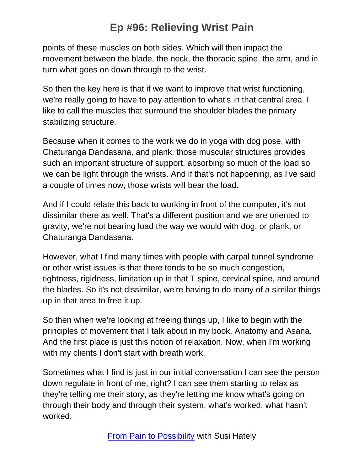points of these muscles on both sides. Which will then impact the movement between the blade, the neck, the thoracic spine, the arm, and in turn what goes on down through to the wrist.

So then the key here is that if we want to improve that wrist functioning, we're really going to have to pay attention to what's in that central area. I like to call the muscles that surround the shoulder blades the primary stabilizing structure.

Because when it comes to the work we do in yoga with dog pose, with Chaturanga Dandasana, and plank, those muscular structures provides such an important structure of support, absorbing so much of the load so we can be light through the wrists. And if that's not happening, as I've said a couple of times now, those wrists will bear the load.

And if I could relate this back to working in front of the computer, it's not dissimilar there as well. That's a different position and we are oriented to gravity, we're not bearing load the way we would with dog, or plank, or Chaturanga Dandasana.

However, what I find many times with people with carpal tunnel syndrome or other wrist issues is that there tends to be so much congestion, tightness, rigidness, limitation up in that T spine, cervical spine, and around the blades. So it's not dissimilar, we're having to do many of a similar things up in that area to free it up.

So then when we're looking at freeing things up, I like to begin with the principles of movement that I talk about in my book, Anatomy and Asana. And the first place is just this notion of relaxation. Now, when I'm working with my clients I don't start with breath work.

Sometimes what I find is just in our initial conversation I can see the person down regulate in front of me, right? I can see them starting to relax as they're telling me their story, as they're letting me know what's going on through their body and through their system, what's worked, what hasn't worked.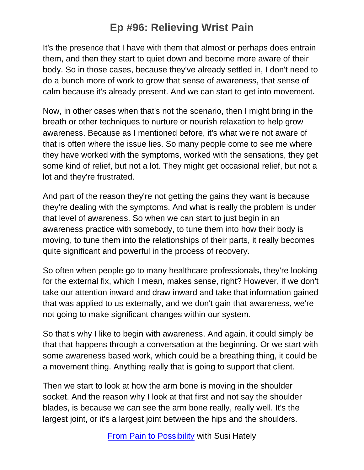It's the presence that I have with them that almost or perhaps does entrain them, and then they start to quiet down and become more aware of their body. So in those cases, because they've already settled in, I don't need to do a bunch more of work to grow that sense of awareness, that sense of calm because it's already present. And we can start to get into movement.

Now, in other cases when that's not the scenario, then I might bring in the breath or other techniques to nurture or nourish relaxation to help grow awareness. Because as I mentioned before, it's what we're not aware of that is often where the issue lies. So many people come to see me where they have worked with the symptoms, worked with the sensations, they get some kind of relief, but not a lot. They might get occasional relief, but not a lot and they're frustrated.

And part of the reason they're not getting the gains they want is because they're dealing with the symptoms. And what is really the problem is under that level of awareness. So when we can start to just begin in an awareness practice with somebody, to tune them into how their body is moving, to tune them into the relationships of their parts, it really becomes quite significant and powerful in the process of recovery.

So often when people go to many healthcare professionals, they're looking for the external fix, which I mean, makes sense, right? However, if we don't take our attention inward and draw inward and take that information gained that was applied to us externally, and we don't gain that awareness, we're not going to make significant changes within our system.

So that's why I like to begin with awareness. And again, it could simply be that that happens through a conversation at the beginning. Or we start with some awareness based work, which could be a breathing thing, it could be a movement thing. Anything really that is going to support that client.

Then we start to look at how the arm bone is moving in the shoulder socket. And the reason why I look at that first and not say the shoulder blades, is because we can see the arm bone really, really well. It's the largest joint, or it's a largest joint between the hips and the shoulders.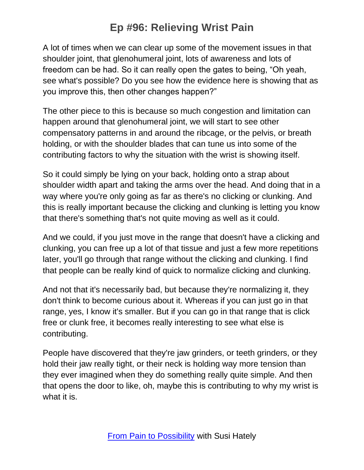A lot of times when we can clear up some of the movement issues in that shoulder joint, that glenohumeral joint, lots of awareness and lots of freedom can be had. So it can really open the gates to being, "Oh yeah, see what's possible? Do you see how the evidence here is showing that as you improve this, then other changes happen?"

The other piece to this is because so much congestion and limitation can happen around that glenohumeral joint, we will start to see other compensatory patterns in and around the ribcage, or the pelvis, or breath holding, or with the shoulder blades that can tune us into some of the contributing factors to why the situation with the wrist is showing itself.

So it could simply be lying on your back, holding onto a strap about shoulder width apart and taking the arms over the head. And doing that in a way where you're only going as far as there's no clicking or clunking. And this is really important because the clicking and clunking is letting you know that there's something that's not quite moving as well as it could.

And we could, if you just move in the range that doesn't have a clicking and clunking, you can free up a lot of that tissue and just a few more repetitions later, you'll go through that range without the clicking and clunking. I find that people can be really kind of quick to normalize clicking and clunking.

And not that it's necessarily bad, but because they're normalizing it, they don't think to become curious about it. Whereas if you can just go in that range, yes, I know it's smaller. But if you can go in that range that is click free or clunk free, it becomes really interesting to see what else is contributing.

People have discovered that they're jaw grinders, or teeth grinders, or they hold their jaw really tight, or their neck is holding way more tension than they ever imagined when they do something really quite simple. And then that opens the door to like, oh, maybe this is contributing to why my wrist is what it is.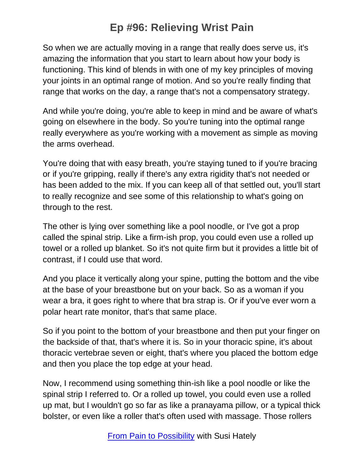So when we are actually moving in a range that really does serve us, it's amazing the information that you start to learn about how your body is functioning. This kind of blends in with one of my key principles of moving your joints in an optimal range of motion. And so you're really finding that range that works on the day, a range that's not a compensatory strategy.

And while you're doing, you're able to keep in mind and be aware of what's going on elsewhere in the body. So you're tuning into the optimal range really everywhere as you're working with a movement as simple as moving the arms overhead.

You're doing that with easy breath, you're staying tuned to if you're bracing or if you're gripping, really if there's any extra rigidity that's not needed or has been added to the mix. If you can keep all of that settled out, you'll start to really recognize and see some of this relationship to what's going on through to the rest.

The other is lying over something like a pool noodle, or I've got a prop called the spinal strip. Like a firm-ish prop, you could even use a rolled up towel or a rolled up blanket. So it's not quite firm but it provides a little bit of contrast, if I could use that word.

And you place it vertically along your spine, putting the bottom and the vibe at the base of your breastbone but on your back. So as a woman if you wear a bra, it goes right to where that bra strap is. Or if you've ever worn a polar heart rate monitor, that's that same place.

So if you point to the bottom of your breastbone and then put your finger on the backside of that, that's where it is. So in your thoracic spine, it's about thoracic vertebrae seven or eight, that's where you placed the bottom edge and then you place the top edge at your head.

Now, I recommend using something thin-ish like a pool noodle or like the spinal strip I referred to. Or a rolled up towel, you could even use a rolled up mat, but I wouldn't go so far as like a pranayama pillow, or a typical thick bolster, or even like a roller that's often used with massage. Those rollers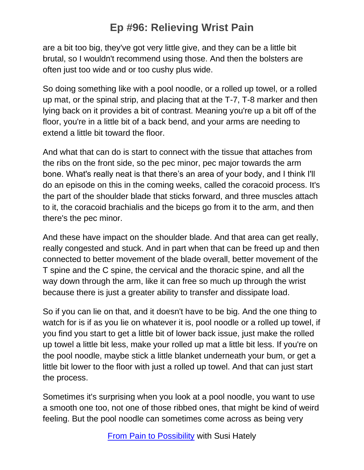are a bit too big, they've got very little give, and they can be a little bit brutal, so I wouldn't recommend using those. And then the bolsters are often just too wide and or too cushy plus wide.

So doing something like with a pool noodle, or a rolled up towel, or a rolled up mat, or the spinal strip, and placing that at the T-7, T-8 marker and then lying back on it provides a bit of contrast. Meaning you're up a bit off of the floor, you're in a little bit of a back bend, and your arms are needing to extend a little bit toward the floor.

And what that can do is start to connect with the tissue that attaches from the ribs on the front side, so the pec minor, pec major towards the arm bone. What's really neat is that there's an area of your body, and I think I'll do an episode on this in the coming weeks, called the coracoid process. It's the part of the shoulder blade that sticks forward, and three muscles attach to it, the coracoid brachialis and the biceps go from it to the arm, and then there's the pec minor.

And these have impact on the shoulder blade. And that area can get really, really congested and stuck. And in part when that can be freed up and then connected to better movement of the blade overall, better movement of the T spine and the C spine, the cervical and the thoracic spine, and all the way down through the arm, like it can free so much up through the wrist because there is just a greater ability to transfer and dissipate load.

So if you can lie on that, and it doesn't have to be big. And the one thing to watch for is if as you lie on whatever it is, pool noodle or a rolled up towel, if you find you start to get a little bit of lower back issue, just make the rolled up towel a little bit less, make your rolled up mat a little bit less. If you're on the pool noodle, maybe stick a little blanket underneath your bum, or get a little bit lower to the floor with just a rolled up towel. And that can just start the process.

Sometimes it's surprising when you look at a pool noodle, you want to use a smooth one too, not one of those ribbed ones, that might be kind of weird feeling. But the pool noodle can sometimes come across as being very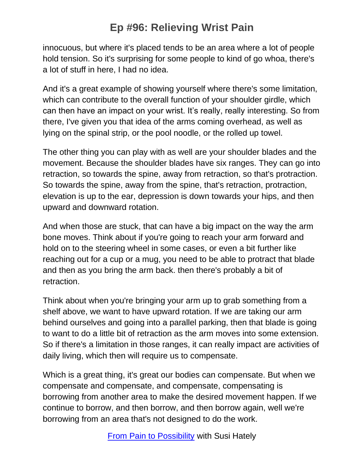innocuous, but where it's placed tends to be an area where a lot of people hold tension. So it's surprising for some people to kind of go whoa, there's a lot of stuff in here, I had no idea.

And it's a great example of showing yourself where there's some limitation, which can contribute to the overall function of your shoulder girdle, which can then have an impact on your wrist. It's really, really interesting. So from there, I've given you that idea of the arms coming overhead, as well as lying on the spinal strip, or the pool noodle, or the rolled up towel.

The other thing you can play with as well are your shoulder blades and the movement. Because the shoulder blades have six ranges. They can go into retraction, so towards the spine, away from retraction, so that's protraction. So towards the spine, away from the spine, that's retraction, protraction, elevation is up to the ear, depression is down towards your hips, and then upward and downward rotation.

And when those are stuck, that can have a big impact on the way the arm bone moves. Think about if you're going to reach your arm forward and hold on to the steering wheel in some cases, or even a bit further like reaching out for a cup or a mug, you need to be able to protract that blade and then as you bring the arm back. then there's probably a bit of retraction.

Think about when you're bringing your arm up to grab something from a shelf above, we want to have upward rotation. If we are taking our arm behind ourselves and going into a parallel parking, then that blade is going to want to do a little bit of retraction as the arm moves into some extension. So if there's a limitation in those ranges, it can really impact are activities of daily living, which then will require us to compensate.

Which is a great thing, it's great our bodies can compensate. But when we compensate and compensate, and compensate, compensating is borrowing from another area to make the desired movement happen. If we continue to borrow, and then borrow, and then borrow again, well we're borrowing from an area that's not designed to do the work.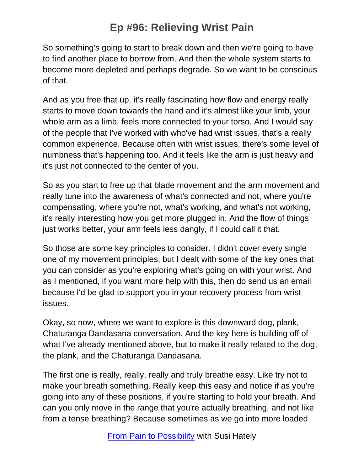So something's going to start to break down and then we're going to have to find another place to borrow from. And then the whole system starts to become more depleted and perhaps degrade. So we want to be conscious of that.

And as you free that up, it's really fascinating how flow and energy really starts to move down towards the hand and it's almost like your limb, your whole arm as a limb, feels more connected to your torso. And I would say of the people that I've worked with who've had wrist issues, that's a really common experience. Because often with wrist issues, there's some level of numbness that's happening too. And it feels like the arm is just heavy and it's just not connected to the center of you.

So as you start to free up that blade movement and the arm movement and really tune into the awareness of what's connected and not, where you're compensating, where you're not, what's working, and what's not working, it's really interesting how you get more plugged in. And the flow of things just works better, your arm feels less dangly, if I could call it that.

So those are some key principles to consider. I didn't cover every single one of my movement principles, but I dealt with some of the key ones that you can consider as you're exploring what's going on with your wrist. And as I mentioned, if you want more help with this, then do send us an email because I'd be glad to support you in your recovery process from wrist issues.

Okay, so now, where we want to explore is this downward dog, plank, Chaturanga Dandasana conversation. And the key here is building off of what I've already mentioned above, but to make it really related to the dog, the plank, and the Chaturanga Dandasana.

The first one is really, really, really and truly breathe easy. Like try not to make your breath something. Really keep this easy and notice if as you're going into any of these positions, if you're starting to hold your breath. And can you only move in the range that you're actually breathing, and not like from a tense breathing? Because sometimes as we go into more loaded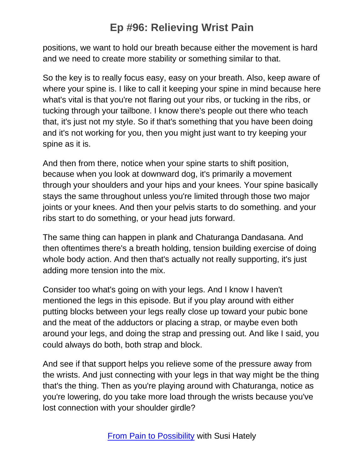positions, we want to hold our breath because either the movement is hard and we need to create more stability or something similar to that.

So the key is to really focus easy, easy on your breath. Also, keep aware of where your spine is. I like to call it keeping your spine in mind because here what's vital is that you're not flaring out your ribs, or tucking in the ribs, or tucking through your tailbone. I know there's people out there who teach that, it's just not my style. So if that's something that you have been doing and it's not working for you, then you might just want to try keeping your spine as it is.

And then from there, notice when your spine starts to shift position, because when you look at downward dog, it's primarily a movement through your shoulders and your hips and your knees. Your spine basically stays the same throughout unless you're limited through those two major joints or your knees. And then your pelvis starts to do something. and your ribs start to do something, or your head juts forward.

The same thing can happen in plank and Chaturanga Dandasana. And then oftentimes there's a breath holding, tension building exercise of doing whole body action. And then that's actually not really supporting, it's just adding more tension into the mix.

Consider too what's going on with your legs. And I know I haven't mentioned the legs in this episode. But if you play around with either putting blocks between your legs really close up toward your pubic bone and the meat of the adductors or placing a strap, or maybe even both around your legs, and doing the strap and pressing out. And like I said, you could always do both, both strap and block.

And see if that support helps you relieve some of the pressure away from the wrists. And just connecting with your legs in that way might be the thing that's the thing. Then as you're playing around with Chaturanga, notice as you're lowering, do you take more load through the wrists because you've lost connection with your shoulder girdle?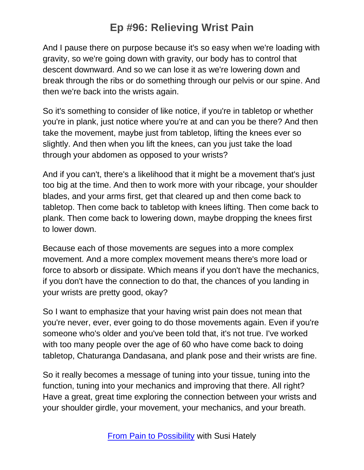And I pause there on purpose because it's so easy when we're loading with gravity, so we're going down with gravity, our body has to control that descent downward. And so we can lose it as we're lowering down and break through the ribs or do something through our pelvis or our spine. And then we're back into the wrists again.

So it's something to consider of like notice, if you're in tabletop or whether you're in plank, just notice where you're at and can you be there? And then take the movement, maybe just from tabletop, lifting the knees ever so slightly. And then when you lift the knees, can you just take the load through your abdomen as opposed to your wrists?

And if you can't, there's a likelihood that it might be a movement that's just too big at the time. And then to work more with your ribcage, your shoulder blades, and your arms first, get that cleared up and then come back to tabletop. Then come back to tabletop with knees lifting. Then come back to plank. Then come back to lowering down, maybe dropping the knees first to lower down.

Because each of those movements are segues into a more complex movement. And a more complex movement means there's more load or force to absorb or dissipate. Which means if you don't have the mechanics, if you don't have the connection to do that, the chances of you landing in your wrists are pretty good, okay?

So I want to emphasize that your having wrist pain does not mean that you're never, ever, ever going to do those movements again. Even if you're someone who's older and you've been told that, it's not true. I've worked with too many people over the age of 60 who have come back to doing tabletop, Chaturanga Dandasana, and plank pose and their wrists are fine.

So it really becomes a message of tuning into your tissue, tuning into the function, tuning into your mechanics and improving that there. All right? Have a great, great time exploring the connection between your wrists and your shoulder girdle, your movement, your mechanics, and your breath.